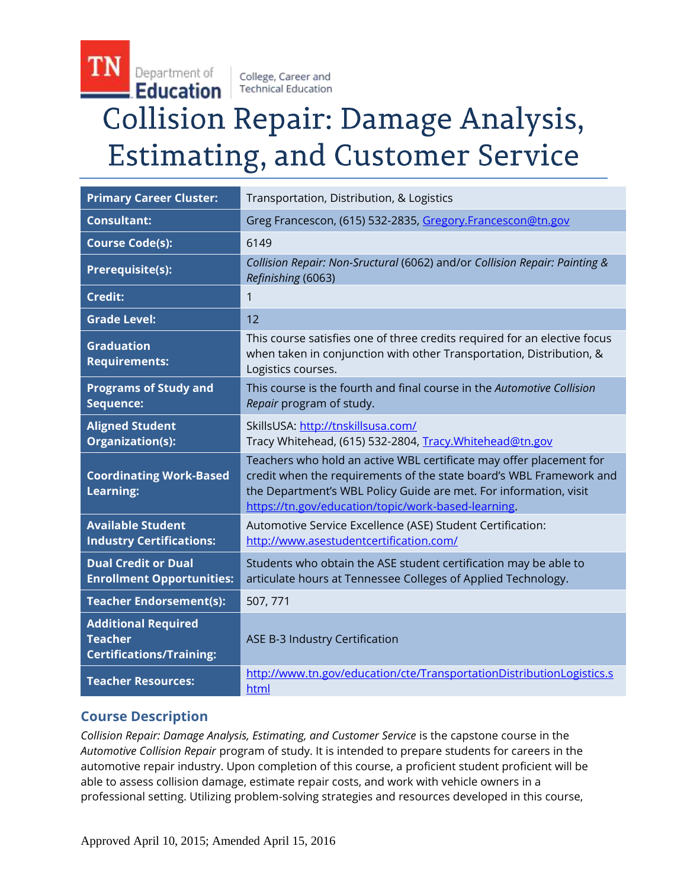College, Career and **Technical Education** 

# **Collision Repair: Damage Analysis, Estimating, and Customer Service**

| <b>Primary Career Cluster:</b>                                                  | Transportation, Distribution, & Logistics                                                                                                                                                                                                                              |
|---------------------------------------------------------------------------------|------------------------------------------------------------------------------------------------------------------------------------------------------------------------------------------------------------------------------------------------------------------------|
| <b>Consultant:</b>                                                              | Greg Francescon, (615) 532-2835, Gregory.Francescon@tn.gov                                                                                                                                                                                                             |
| <b>Course Code(s):</b>                                                          | 6149                                                                                                                                                                                                                                                                   |
| Prerequisite(s):                                                                | Collision Repair: Non-Sructural (6062) and/or Collision Repair: Painting &<br>Refinishing (6063)                                                                                                                                                                       |
| <b>Credit:</b>                                                                  | 1                                                                                                                                                                                                                                                                      |
| <b>Grade Level:</b>                                                             | 12                                                                                                                                                                                                                                                                     |
| <b>Graduation</b><br><b>Requirements:</b>                                       | This course satisfies one of three credits required for an elective focus<br>when taken in conjunction with other Transportation, Distribution, &<br>Logistics courses.                                                                                                |
| <b>Programs of Study and</b><br>Sequence:                                       | This course is the fourth and final course in the Automotive Collision<br>Repair program of study.                                                                                                                                                                     |
| <b>Aligned Student</b><br>Organization(s):                                      | SkillsUSA: http://tnskillsusa.com/<br>Tracy Whitehead, (615) 532-2804, Tracy. Whitehead@tn.gov                                                                                                                                                                         |
| <b>Coordinating Work-Based</b><br><b>Learning:</b>                              | Teachers who hold an active WBL certificate may offer placement for<br>credit when the requirements of the state board's WBL Framework and<br>the Department's WBL Policy Guide are met. For information, visit<br>https://tn.gov/education/topic/work-based-learning. |
| <b>Available Student</b><br><b>Industry Certifications:</b>                     | Automotive Service Excellence (ASE) Student Certification:<br>http://www.asestudentcertification.com/                                                                                                                                                                  |
| <b>Dual Credit or Dual</b><br><b>Enrollment Opportunities:</b>                  | Students who obtain the ASE student certification may be able to<br>articulate hours at Tennessee Colleges of Applied Technology.                                                                                                                                      |
| <b>Teacher Endorsement(s):</b>                                                  | 507, 771                                                                                                                                                                                                                                                               |
| <b>Additional Required</b><br><b>Teacher</b><br><b>Certifications/Training:</b> | ASE B-3 Industry Certification                                                                                                                                                                                                                                         |
| <b>Teacher Resources:</b>                                                       | http://www.tn.gov/education/cte/TransportationDistributionLogistics.s<br>html                                                                                                                                                                                          |

# **Course Description**

TN

Department of

Education

*Collision Repair: Damage Analysis, Estimating, and Customer Service* is the capstone course in the *Automotive Collision Repair* program of study. It is intended to prepare students for careers in the automotive repair industry. Upon completion of this course, a proficient student proficient will be able to assess collision damage, estimate repair costs, and work with vehicle owners in a professional setting. Utilizing problem-solving strategies and resources developed in this course,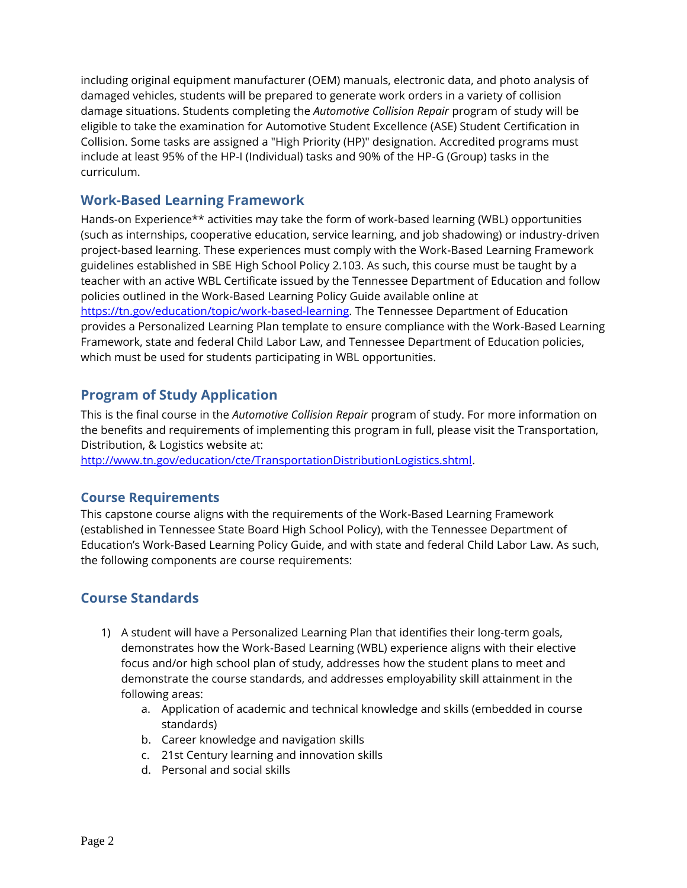including original equipment manufacturer (OEM) manuals, electronic data, and photo analysis of damaged vehicles, students will be prepared to generate work orders in a variety of collision damage situations. Students completing the *Automotive Collision Repair* program of study will be eligible to take the examination for Automotive Student Excellence (ASE) Student Certification in Collision. Some tasks are assigned a "High Priority (HP)" designation. Accredited programs must include at least 95% of the HP-I (Individual) tasks and 90% of the HP-G (Group) tasks in the curriculum.

## **Work-Based Learning Framework**

Hands-on Experience\*\* activities may take the form of work-based learning (WBL) opportunities (such as internships, cooperative education, service learning, and job shadowing) or industry-driven project-based learning. These experiences must comply with the Work-Based Learning Framework guidelines established in SBE High School Policy 2.103. As such, this course must be taught by a teacher with an active WBL Certificate issued by the Tennessee Department of Education and follow policies outlined in the Work-Based Learning Policy Guide available online at [https://tn.gov/education/topic/work-based-learning.](https://tn.gov/education/topic/work-based-learning) The Tennessee Department of Education provides a Personalized Learning Plan template to ensure compliance with the Work-Based Learning Framework, state and federal Child Labor Law, and Tennessee Department of Education policies, which must be used for students participating in WBL opportunities.

## **Program of Study Application**

This is the final course in the *Automotive Collision Repair* program of study. For more information on the benefits and requirements of implementing this program in full, please visit the Transportation, Distribution, & Logistics website at:

[http://www.tn.gov/education/cte/TransportationDistributionLogistics.shtml.](https://tn.gov/education/article/cte-cluster-transportation-distribution-logistics)

## **Course Requirements**

This capstone course aligns with the requirements of the Work-Based Learning Framework (established in Tennessee State Board High School Policy), with the Tennessee Department of Education's Work-Based Learning Policy Guide, and with state and federal Child Labor Law. As such, the following components are course requirements:

# **Course Standards**

- 1) A student will have a Personalized Learning Plan that identifies their long-term goals, demonstrates how the Work-Based Learning (WBL) experience aligns with their elective focus and/or high school plan of study, addresses how the student plans to meet and demonstrate the course standards, and addresses employability skill attainment in the following areas:
	- a. Application of academic and technical knowledge and skills (embedded in course standards)
	- b. Career knowledge and navigation skills
	- c. 21st Century learning and innovation skills
	- d. Personal and social skills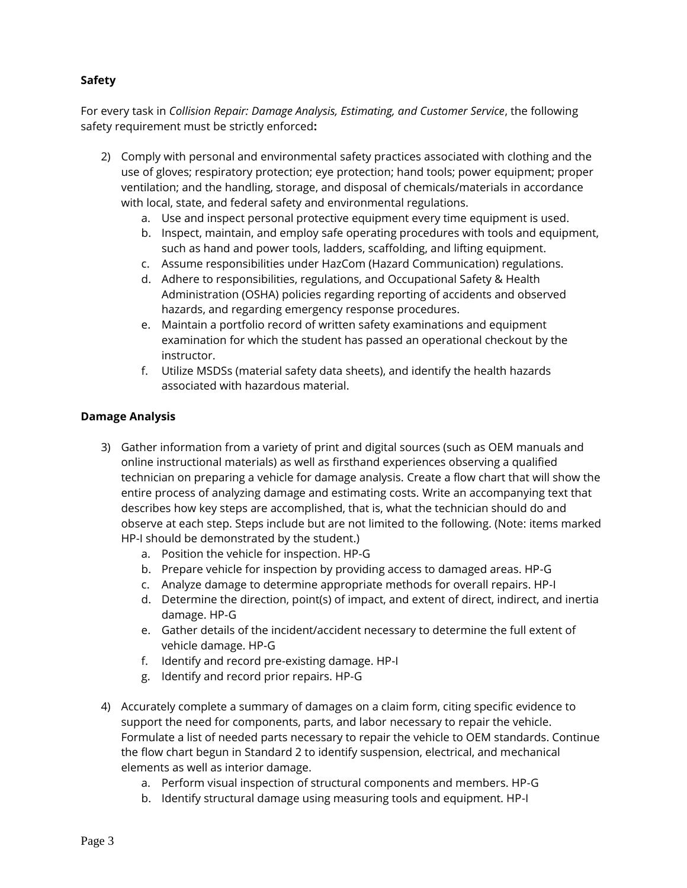## **Safety**

For every task in *Collision Repair: Damage Analysis, Estimating, and Customer Service*, the following safety requirement must be strictly enforced**:** 

- 2) Comply with personal and environmental safety practices associated with clothing and the use of gloves; respiratory protection; eye protection; hand tools; power equipment; proper ventilation; and the handling, storage, and disposal of chemicals/materials in accordance with local, state, and federal safety and environmental regulations.
	- a. Use and inspect personal protective equipment every time equipment is used.
	- b. Inspect, maintain, and employ safe operating procedures with tools and equipment, such as hand and power tools, ladders, scaffolding, and lifting equipment.
	- c. Assume responsibilities under HazCom (Hazard Communication) regulations.
	- d. Adhere to responsibilities, regulations, and Occupational Safety & Health Administration (OSHA) policies regarding reporting of accidents and observed hazards, and regarding emergency response procedures.
	- e. Maintain a portfolio record of written safety examinations and equipment examination for which the student has passed an operational checkout by the instructor.
	- f. Utilize MSDSs (material safety data sheets), and identify the health hazards associated with hazardous material.

#### **Damage Analysis**

- 3) Gather information from a variety of print and digital sources (such as OEM manuals and online instructional materials) as well as firsthand experiences observing a qualified technician on preparing a vehicle for damage analysis. Create a flow chart that will show the entire process of analyzing damage and estimating costs. Write an accompanying text that describes how key steps are accomplished, that is, what the technician should do and observe at each step. Steps include but are not limited to the following. (Note: items marked HP-I should be demonstrated by the student.)
	- a. Position the vehicle for inspection. HP-G
	- b. Prepare vehicle for inspection by providing access to damaged areas. HP-G
	- c. Analyze damage to determine appropriate methods for overall repairs. HP-I
	- d. Determine the direction, point(s) of impact, and extent of direct, indirect, and inertia damage. HP-G
	- e. Gather details of the incident/accident necessary to determine the full extent of vehicle damage. HP-G
	- f. Identify and record pre-existing damage. HP-I
	- g. Identify and record prior repairs. HP-G
- 4) Accurately complete a summary of damages on a claim form, citing specific evidence to support the need for components, parts, and labor necessary to repair the vehicle. Formulate a list of needed parts necessary to repair the vehicle to OEM standards. Continue the flow chart begun in Standard 2 to identify suspension, electrical, and mechanical elements as well as interior damage.
	- a. Perform visual inspection of structural components and members. HP-G
	- b. Identify structural damage using measuring tools and equipment. HP-I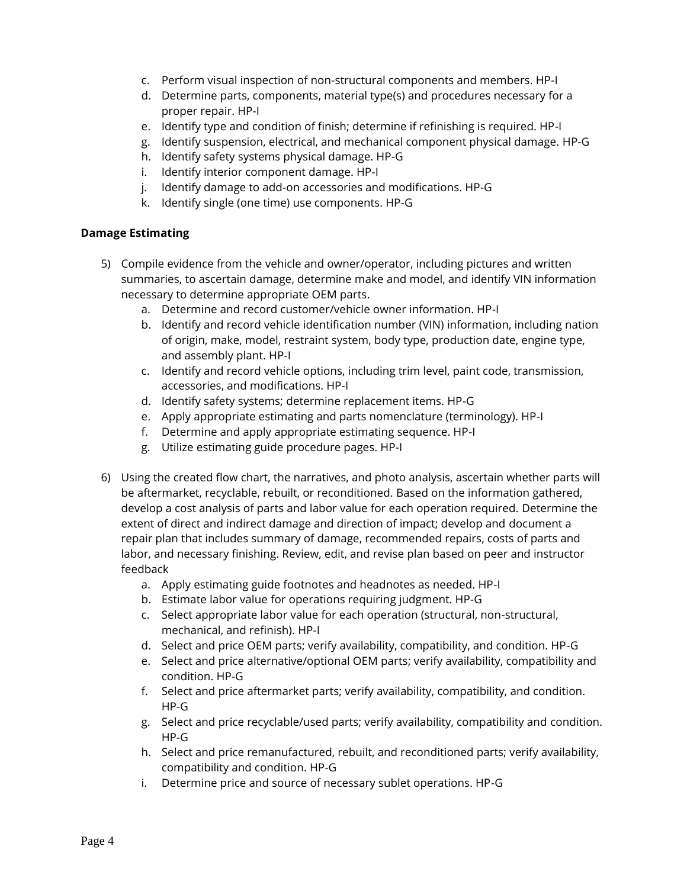- c. Perform visual inspection of non-structural components and members. HP-I
- d. Determine parts, components, material type(s) and procedures necessary for a proper repair. HP-I
- e. Identify type and condition of finish; determine if refinishing is required. HP-I
- g. Identify suspension, electrical, and mechanical component physical damage. HP-G
- h. Identify safety systems physical damage. HP-G
- i. Identify interior component damage. HP-I
- j. Identify damage to add-on accessories and modifications. HP-G
- k. Identify single (one time) use components. HP-G

#### **Damage Estimating**

- 5) Compile evidence from the vehicle and owner/operator, including pictures and written summaries, to ascertain damage, determine make and model, and identify VIN information necessary to determine appropriate OEM parts.
	- a. Determine and record customer/vehicle owner information. HP-I
	- b. Identify and record vehicle identification number (VIN) information, including nation of origin, make, model, restraint system, body type, production date, engine type, and assembly plant. HP-I
	- c. Identify and record vehicle options, including trim level, paint code, transmission, accessories, and modifications. HP-I
	- d. Identify safety systems; determine replacement items. HP-G
	- e. Apply appropriate estimating and parts nomenclature (terminology). HP-I
	- f. Determine and apply appropriate estimating sequence. HP-I
	- g. Utilize estimating guide procedure pages. HP-I
- 6) Using the created flow chart, the narratives, and photo analysis, ascertain whether parts will be aftermarket, recyclable, rebuilt, or reconditioned. Based on the information gathered, develop a cost analysis of parts and labor value for each operation required. Determine the extent of direct and indirect damage and direction of impact; develop and document a repair plan that includes summary of damage, recommended repairs, costs of parts and labor, and necessary finishing. Review, edit, and revise plan based on peer and instructor feedback
	- a. Apply estimating guide footnotes and headnotes as needed. HP-I
	- b. Estimate labor value for operations requiring judgment. HP-G
	- c. Select appropriate labor value for each operation (structural, non-structural, mechanical, and refinish). HP-I
	- d. Select and price OEM parts; verify availability, compatibility, and condition. HP-G
	- e. Select and price alternative/optional OEM parts; verify availability, compatibility and condition. HP-G
	- f. Select and price aftermarket parts; verify availability, compatibility, and condition. HP-G
	- g. Select and price recyclable/used parts; verify availability, compatibility and condition. HP-G
	- h. Select and price remanufactured, rebuilt, and reconditioned parts; verify availability, compatibility and condition. HP-G
	- i. Determine price and source of necessary sublet operations. HP-G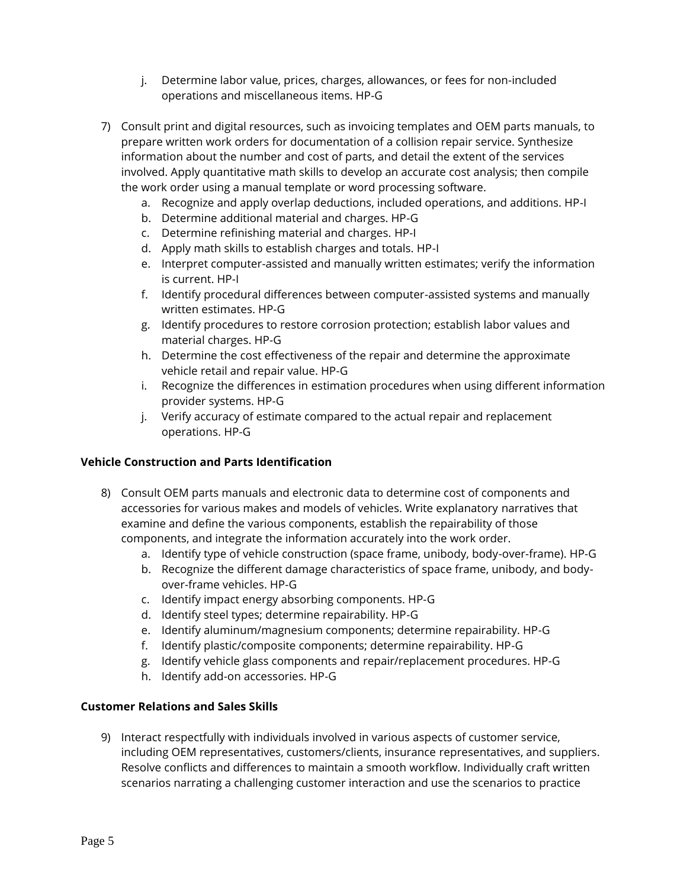- j. Determine labor value, prices, charges, allowances, or fees for non-included operations and miscellaneous items. HP-G
- 7) Consult print and digital resources, such as invoicing templates and OEM parts manuals, to prepare written work orders for documentation of a collision repair service. Synthesize information about the number and cost of parts, and detail the extent of the services involved. Apply quantitative math skills to develop an accurate cost analysis; then compile the work order using a manual template or word processing software.
	- a. Recognize and apply overlap deductions, included operations, and additions. HP-I
	- b. Determine additional material and charges. HP-G
	- c. Determine refinishing material and charges. HP-I
	- d. Apply math skills to establish charges and totals. HP-I
	- e. Interpret computer-assisted and manually written estimates; verify the information is current. HP-I
	- f. Identify procedural differences between computer-assisted systems and manually written estimates. HP-G
	- g. Identify procedures to restore corrosion protection; establish labor values and material charges. HP-G
	- h. Determine the cost effectiveness of the repair and determine the approximate vehicle retail and repair value. HP-G
	- i. Recognize the differences in estimation procedures when using different information provider systems. HP-G
	- j. Verify accuracy of estimate compared to the actual repair and replacement operations. HP-G

## **Vehicle Construction and Parts Identification**

- 8) Consult OEM parts manuals and electronic data to determine cost of components and accessories for various makes and models of vehicles. Write explanatory narratives that examine and define the various components, establish the repairability of those components, and integrate the information accurately into the work order.
	- a. Identify type of vehicle construction (space frame, unibody, body-over-frame). HP-G
	- b. Recognize the different damage characteristics of space frame, unibody, and bodyover-frame vehicles. HP-G
	- c. Identify impact energy absorbing components. HP-G
	- d. Identify steel types; determine repairability. HP-G
	- e. Identify aluminum/magnesium components; determine repairability. HP-G
	- f. Identify plastic/composite components; determine repairability. HP-G
	- g. Identify vehicle glass components and repair/replacement procedures. HP-G
	- h. Identify add-on accessories. HP-G

## **Customer Relations and Sales Skills**

9) Interact respectfully with individuals involved in various aspects of customer service, including OEM representatives, customers/clients, insurance representatives, and suppliers. Resolve conflicts and differences to maintain a smooth workflow. Individually craft written scenarios narrating a challenging customer interaction and use the scenarios to practice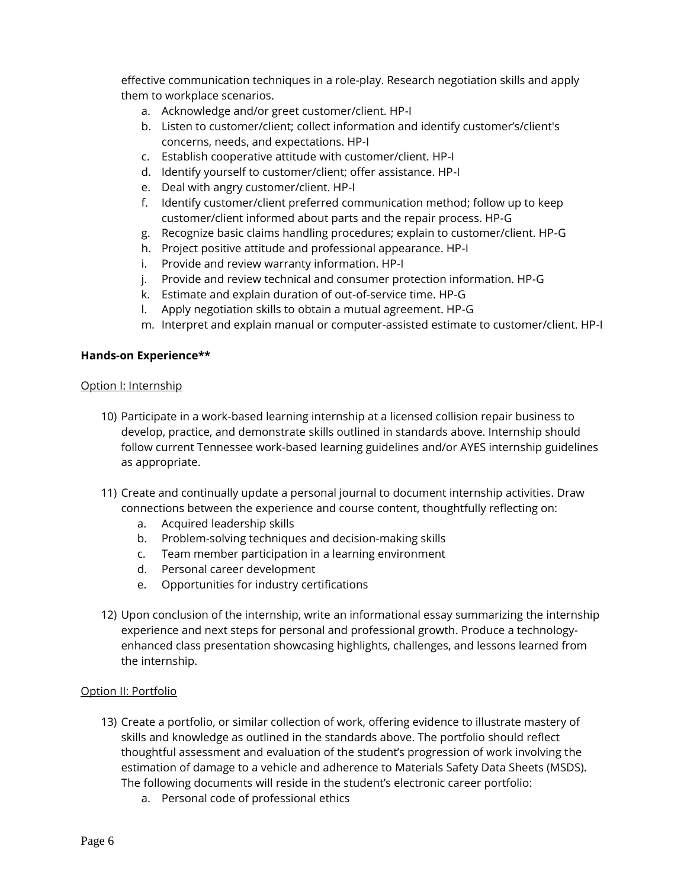effective communication techniques in a role-play. Research negotiation skills and apply them to workplace scenarios.

- a. Acknowledge and/or greet customer/client. HP-I
- b. Listen to customer/client; collect information and identify customer's/client's concerns, needs, and expectations. HP-I
- c. Establish cooperative attitude with customer/client. HP-I
- d. Identify yourself to customer/client; offer assistance. HP-I
- e. Deal with angry customer/client. HP-I
- f. Identify customer/client preferred communication method; follow up to keep customer/client informed about parts and the repair process. HP-G
- g. Recognize basic claims handling procedures; explain to customer/client. HP-G
- h. Project positive attitude and professional appearance. HP-I
- i. Provide and review warranty information. HP-I
- j. Provide and review technical and consumer protection information. HP-G
- k. Estimate and explain duration of out-of-service time. HP-G
- l. Apply negotiation skills to obtain a mutual agreement. HP-G
- m. Interpret and explain manual or computer-assisted estimate to customer/client. HP-I

#### **Hands-on Experience\*\***

#### Option I: Internship

- 10) Participate in a work-based learning internship at a licensed collision repair business to develop, practice, and demonstrate skills outlined in standards above. Internship should follow current Tennessee work-based learning guidelines and/or AYES internship guidelines as appropriate.
- 11) Create and continually update a personal journal to document internship activities. Draw connections between the experience and course content, thoughtfully reflecting on:
	- a. Acquired leadership skills
	- b. Problem-solving techniques and decision-making skills
	- c. Team member participation in a learning environment
	- d. Personal career development
	- e. Opportunities for industry certifications
- 12) Upon conclusion of the internship, write an informational essay summarizing the internship experience and next steps for personal and professional growth. Produce a technologyenhanced class presentation showcasing highlights, challenges, and lessons learned from the internship.

#### Option II: Portfolio

- 13) Create a portfolio, or similar collection of work, offering evidence to illustrate mastery of skills and knowledge as outlined in the standards above. The portfolio should reflect thoughtful assessment and evaluation of the student's progression of work involving the estimation of damage to a vehicle and adherence to Materials Safety Data Sheets (MSDS). The following documents will reside in the student's electronic career portfolio:
	- a. Personal code of professional ethics